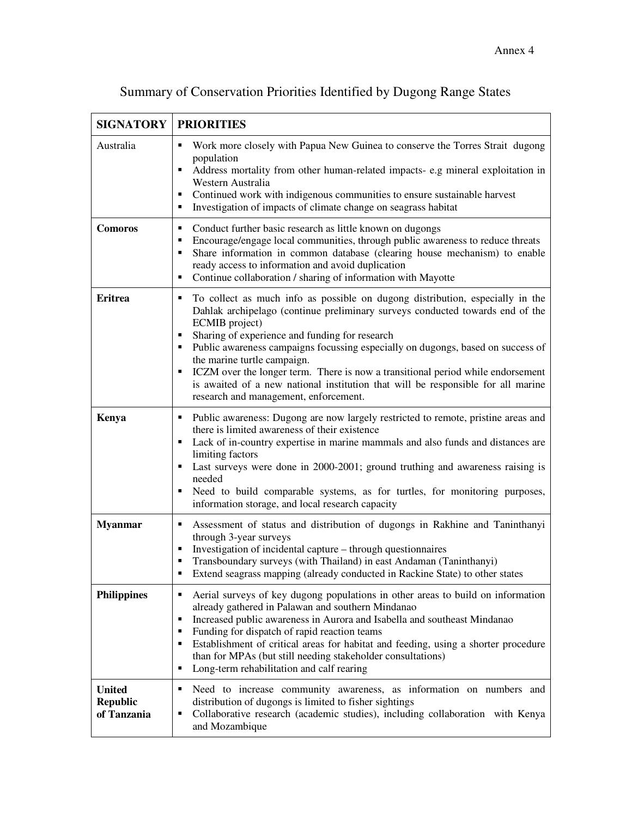| <b>SIGNATORY</b>                                | <b>PRIORITIES</b>                                                                                                                                                                                                                                                                                                                                                                                                                                                                                                                                                                                                               |
|-------------------------------------------------|---------------------------------------------------------------------------------------------------------------------------------------------------------------------------------------------------------------------------------------------------------------------------------------------------------------------------------------------------------------------------------------------------------------------------------------------------------------------------------------------------------------------------------------------------------------------------------------------------------------------------------|
| Australia                                       | Work more closely with Papua New Guinea to conserve the Torres Strait dugong<br>Е<br>population<br>Address mortality from other human-related impacts-e.g mineral exploitation in<br>$\blacksquare$<br>Western Australia<br>Continued work with indigenous communities to ensure sustainable harvest<br>Investigation of impacts of climate change on seagrass habitat                                                                                                                                                                                                                                                          |
| <b>Comoros</b>                                  | Conduct further basic research as little known on dugongs<br>п<br>Encourage/engage local communities, through public awareness to reduce threats<br>п<br>Share information in common database (clearing house mechanism) to enable<br>$\blacksquare$<br>ready access to information and avoid duplication<br>Continue collaboration / sharing of information with Mayotte<br>$\blacksquare$                                                                                                                                                                                                                                     |
| <b>Eritrea</b>                                  | To collect as much info as possible on dugong distribution, especially in the<br>п<br>Dahlak archipelago (continue preliminary surveys conducted towards end of the<br>ECMIB project)<br>Sharing of experience and funding for research<br>$\blacksquare$<br>Public awareness campaigns focussing especially on dugongs, based on success of<br>$\blacksquare$<br>the marine turtle campaign.<br>ICZM over the longer term. There is now a transitional period while endorsement<br>$\blacksquare$<br>is awaited of a new national institution that will be responsible for all marine<br>research and management, enforcement. |
| Kenya                                           | Public awareness: Dugong are now largely restricted to remote, pristine areas and<br>п<br>there is limited awareness of their existence<br>Lack of in-country expertise in marine mammals and also funds and distances are<br>$\blacksquare$<br>limiting factors<br>Last surveys were done in 2000-2001; ground truthing and awareness raising is<br>$\blacksquare$<br>needed<br>Need to build comparable systems, as for turtles, for monitoring purposes,<br>$\blacksquare$<br>information storage, and local research capacity                                                                                               |
| <b>Myanmar</b>                                  | Assessment of status and distribution of dugongs in Rakhine and Taninthanyi<br>п<br>through 3-year surveys<br>Investigation of incidental capture - through questionnaires<br>Transboundary surveys (with Thailand) in east Andaman (Taninthanyi)<br>Extend seagrass mapping (already conducted in Rackine State) to other states                                                                                                                                                                                                                                                                                               |
| <b>Philippines</b>                              | Aerial surveys of key dugong populations in other areas to build on information<br>$\blacksquare$<br>already gathered in Palawan and southern Mindanao<br>Increased public awareness in Aurora and Isabella and southeast Mindanao<br>$\blacksquare$<br>Funding for dispatch of rapid reaction teams<br>п<br>Establishment of critical areas for habitat and feeding, using a shorter procedure<br>$\blacksquare$<br>than for MPAs (but still needing stakeholder consultations)<br>Long-term rehabilitation and calf rearing<br>Е                                                                                              |
| <b>United</b><br><b>Republic</b><br>of Tanzania | Need to increase community awareness, as information on numbers and<br>п<br>distribution of dugongs is limited to fisher sightings<br>Collaborative research (academic studies), including collaboration with Kenya<br>П<br>and Mozambique                                                                                                                                                                                                                                                                                                                                                                                      |

## Summary of Conservation Priorities Identified by Dugong Range States